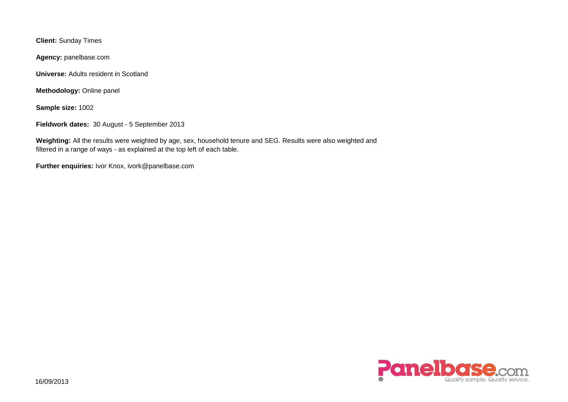**Client:** Sunday Times

**Agency:** panelbase.com

**Universe:** Adults resident in Scotland

**Methodology:** Online panel

**Sample size:** 1002

**Fieldwork dates:** 30 August - 5 September 2013

**Weighting:** All the results were weighted by age, sex, household tenure and SEG. Results were also weighted and filtered in a range of ways - as explained at the top left of each table.

**Further enquiries:** Ivor Knox, ivork@panelbase.com

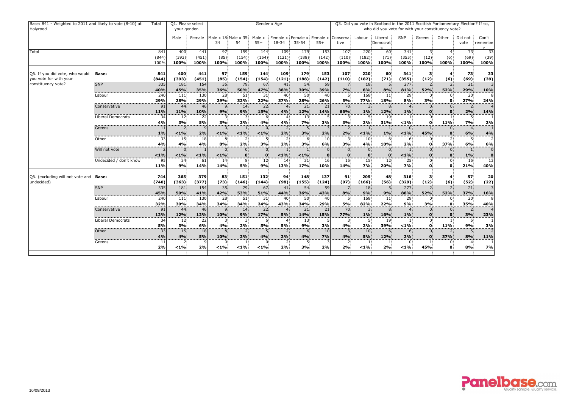| Base: 841 - Weighted to 2011 and likely to vote (8-10) at<br>Holyrood |                        | Total                | Q1. Please select<br>your gender. |                                 |                           |                        |                            | Gender x Age           |                                |                      | Q3. Did you vote in Scotland in the 2011 Scottish Parliamentary Election? If so,<br>who did you vote for with your constituency vote? |                              |                          |                                |                                 |                     |                         |                             |  |  |
|-----------------------------------------------------------------------|------------------------|----------------------|-----------------------------------|---------------------------------|---------------------------|------------------------|----------------------------|------------------------|--------------------------------|----------------------|---------------------------------------------------------------------------------------------------------------------------------------|------------------------------|--------------------------|--------------------------------|---------------------------------|---------------------|-------------------------|-----------------------------|--|--|
|                                                                       |                        |                      | Male                              | Female                          | Male x 18 Male x 35<br>34 | 54                     | Male x<br>$55+$            | Female x<br>18-34      | Female x Female x<br>$35 - 54$ | $55+$                | Conserva<br>tive                                                                                                                      | Labour                       | Liberal<br>Democrat      | SNP                            | Greens                          | Other               | Did not<br>vote         | Can't<br>remembe            |  |  |
| <b>Total</b>                                                          | 841<br>(844)<br>100%   | 400<br>(393)<br>100% | 441<br>(451)<br>100%              | $\overline{97}$<br>(85)<br>100% | 159<br>(154)<br>100%      | 144<br>(154)<br>100%   | 109<br>(121)<br>100%       | 179<br>(188)<br>100%   | 153<br>(142)<br>100%           | 107<br>(110)<br>100% | 220<br>(182)<br>100%                                                                                                                  | 60<br>(71)<br>100%           | 341<br>(355)<br>100%     | 3 <sub>1</sub><br>(12)<br>100% | (6)<br>100%                     | 73<br>(69)<br>100%  | 33<br>(39)<br>100%      |                             |  |  |
|                                                                       |                        |                      |                                   |                                 |                           |                        |                            |                        |                                |                      |                                                                                                                                       |                              |                          |                                |                                 |                     |                         |                             |  |  |
| Q6. If you did vote, who would<br>you vote for with your              | <b>Base:</b>           | 841<br>(844)         | 400<br>(393)                      | 441<br>(451)                    | 97<br>(85)                | 159<br>(154)           | 144<br>(154)               | 109<br>(121)           | 179<br>(188)                   | 153<br>(142)         | 107<br>(110)                                                                                                                          | 220<br>(182)                 | 60 <sup>3</sup><br>(71)  | 341<br>(355)                   | $\overline{\mathbf{3}}$<br>(12) | (6)                 | 73<br>(69)              | 33<br>(39)                  |  |  |
| constituency vote?                                                    | <b>SNP</b>             | 335<br>40%           | 181<br>45%                        | 154<br>35%                      | 35<br>36%                 | 79<br><b>50%</b>       | 67<br>47%                  | 41<br>38%              | 54<br>30%                      | 59<br>39%            | 7%                                                                                                                                    | 18 <sup>3</sup><br>8%        | 8%                       | 277<br>81%                     | 52%                             | 52%                 | 21<br>29%               | 10%                         |  |  |
|                                                                       | Labour                 | 240<br>29%           | 111<br>28%                        | 130<br>29%                      | 28<br>29%                 | 51 <sup>3</sup><br>32% | 31<br>22%                  | 40 <sub>3</sub><br>37% | 50 <sub>5</sub><br>28%         | 40<br>26%            | 5.<br>5%                                                                                                                              | 168<br><b>77%</b>            | 11 <sub>3</sub><br>18%   | 29 <sub>1</sub><br>8%          | $\overline{0}$<br>3%            |                     | 20 <sup>2</sup><br>27%  | 8<br>24%                    |  |  |
|                                                                       | Conservative           | 91<br>11%            | 44<br>11%                         | 46<br>10%                       | -9<br>9%                  | 14 <sup>3</sup><br>9%  | 22 <sub>1</sub><br>15%     | $\overline{4}$<br>4%   | 21<br>12%                      | 21<br><b>14%</b>     | 70<br>66%                                                                                                                             | $\overline{3}$<br>1%         | 8 <sub>1</sub><br>12%    | 1%                             | $0^{\circ}$<br>$\mathbf{0}$     |                     | $\overline{2}$<br>2%    | $\overline{4}$<br>14%       |  |  |
|                                                                       | Liberal Democrats      | 34<br>4%             | 12<br>3%                          | 22<br>5%                        | 3%                        | 2%                     | 6<br>4%                    | 4%                     | 13<br>7%                       | 3%                   | 3<br>3%                                                                                                                               | -5<br>2%                     | 19 <sub>3</sub><br>31%   | < 1%                           | $\overline{0}$<br>$\mathbf{0}$  | <b>11%</b>          | 7%                      | 2%                          |  |  |
|                                                                       | Greens                 | 11<br>$1\%$          | 2<br>$< 1\%$                      | $\vert$ 9<br>2%                 | $< 1\%$                   | < 1%                   | $\overline{0}$<br>< 1%     | $\overline{2}$<br>2%   | 5 <sup>1</sup><br>3%           | 2%                   | $\overline{2}$<br>2%                                                                                                                  | < 1%                         | 1%                       | $\overline{0}$<br>< 1%         | 45%                             |                     | 6%                      | 4%                          |  |  |
|                                                                       | Other                  | 33<br>4%             | 15<br>4%                          | 18<br>4%                        | -8<br>8%                  | 2 <sup>2</sup><br>2%   | 5<br>3%                    | 2:<br>2%               | 6<br>3%                        | 10<br>6%             | $\mathbf{3}$<br>3%                                                                                                                    | 10<br>4%                     | 6<br>10%                 | 6<br>2%                        | $\Omega$<br>$\mathbf{0}$        | <b>37%</b>          | -5<br>6%                | $\overline{2}$<br>6%        |  |  |
|                                                                       | Will not vote          | < 1%                 | $\Omega$<br>$< 1\%$               | < 1%                            | $< 1\%$                   | $\mathbf{0}$           | $0^{\circ}$<br>$\mathbf 0$ | $< 1\%$                | < 1%                           |                      |                                                                                                                                       | $\mathbf{0}$<br>$\mathbf{0}$ | $\Omega$<br>$\mathbf{0}$ | < 1%                           | $\overline{0}$<br>$\mathbf{0}$  |                     | 1%                      | $\mathbf 0$<br>$\mathbf{0}$ |  |  |
|                                                                       | Undecided / don't know | 95<br>11%            | 34<br>9%                          | 61<br>14%                       | 14<br>14%                 | 8 <sup>1</sup><br>5%   | 12 <sup>1</sup><br>9%      | 14<br>13%              | 31<br><b>17%</b>               | 16<br>10%            | 15 <sup>1</sup><br><b>14%</b>                                                                                                         | 15<br>7%                     | 12 <sub>1</sub><br>20%   | 25<br>7%                       | $\overline{0}$<br>$\mathbf{0}$  |                     | 15 <sub>1</sub><br>21%  | $\overline{13}$<br>40%      |  |  |
|                                                                       |                        |                      |                                   |                                 |                           |                        |                            |                        |                                |                      |                                                                                                                                       |                              |                          |                                |                                 |                     |                         |                             |  |  |
| Q6. (excluding will not vote and<br>undecided)                        | <b>Base:</b>           | 744<br>(740)         | 365<br>(363)                      | 379<br>(377)                    | 83<br>(73)                | 151<br>(146)           | 132<br>(144)               | 94<br>(98)             | 148<br>(155)                   | 137<br>(124)         | 91 <sup>3</sup><br>(97)                                                                                                               | 205<br>(166)                 | 48 <sup>3</sup><br>(56)  | 316<br>(329)                   | $\mathbf{3}$<br>(12)            | $\mathbf{A}$<br>(6) | 57 <sub>3</sub><br>(52) | 20<br>(22)                  |  |  |
|                                                                       | <b>SNP</b>             | 335<br>45%           | 181<br>50%                        | 154<br>41%                      | 35<br>42%                 | 79<br>53%              | 67<br>51%                  | 41<br>44%              | 54<br>36%                      | 59<br>43%            | 8%                                                                                                                                    | 18 <sub>5</sub><br>9%        | 9%                       | 277<br>88%                     | $\overline{2}$<br>52%           | 52%                 | 21<br>37%               | 3<br>16%                    |  |  |
|                                                                       | Labour                 | 240<br>32%           | 111<br>30%                        | 130<br>34%                      | 28<br>34%                 | 51<br>34%              | 31<br>24%                  | 40<br>43%              | 50<br>34%                      | 40<br>29%            | 5.<br>5%                                                                                                                              | 168<br>82%                   | 11 <br>22%               | 29<br>9%                       | $\mathbf{0}$<br>3%              | 0                   | 20<br>35%               | 8<br>40%                    |  |  |
|                                                                       | Conservative           | 91                   | 44                                | 46                              |                           | 14 <sup>3</sup>        | 22                         |                        | 21                             | 21                   | 70 <sub>1</sub>                                                                                                                       | 3.                           | 8.                       |                                | $\mathbf{0}$                    |                     | 2.                      | $\overline{4}$              |  |  |
|                                                                       | Liberal Democrats      | 12%<br>34            | 12%<br>12 <sub>1</sub>            | 12%<br>22                       | 10%                       | 9%<br>3.               | <b>17%</b><br>6.           | 5%                     | 14%<br>13 <sup>3</sup>         | 15%                  | <b>77%</b><br>3.                                                                                                                      | $1\%$<br>- 5:                | 16%<br>19 <sub>1</sub>   | 1%                             | $\overline{0}$                  |                     | 3%<br>5.                | 23%                         |  |  |
|                                                                       | Other                  | <b>5%</b><br>33      | 3%<br>15 <sub>1</sub>             | 6%<br>18                        | 4%                        | 2%<br>$\mathbf{2}$     | 5%                         | 5%<br>$\mathbf{2}$     | 9%<br>-6                       | 3%<br>10             | 4%<br>$\overline{\mathbf{3}}$                                                                                                         | 2%<br>10 <sub>1</sub>        | 39%<br>6.                | $< 1\%$                        | $\mathbf{0}$<br>$\overline{0}$  | <b>11%</b>          | 9%<br>5 <sup>1</sup>    | 3%<br>$\overline{2}$        |  |  |
|                                                                       | Greens                 | 4%<br>11             | 4%<br>2:                          | 5%                              | 10%                       | 2%                     | 4%<br>0:                   | 2%<br>2                | 4%<br>-51                      | 7%                   | 4%<br>2                                                                                                                               | 5%                           | <b>12%</b>               | 2%                             | $\mathbf{0}$                    | <b>37%</b>          | 8%                      | 11%                         |  |  |
|                                                                       |                        | 2%                   | $1\%$                             | 2%                              | $< 1\%$                   | $< 1\%$                | $< 1\%$                    | 2%                     | 3%                             | 2%                   | 2%                                                                                                                                    | $< 1\%$                      | 2%                       | $< 1\%$                        | 45%                             | $\mathbf 0$         | 8%                      | <b>7%</b>                   |  |  |

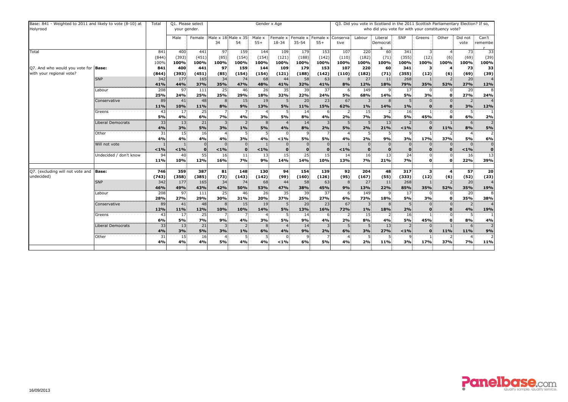| Base: 841 - Weighted to 2011 and likely to vote (8-10) at<br>Holyrood |                        | Total        | Q1. Please select<br>your gender. |              | Gender x Age              |                         |                        |                   |                                |              |                             | Q3. Did you vote in Scotland in the 2011 Scottish Parliamentary Election? If so,<br>who did you vote for with your constituency vote? |                        |                         |                                |              |                       |                      |  |  |  |
|-----------------------------------------------------------------------|------------------------|--------------|-----------------------------------|--------------|---------------------------|-------------------------|------------------------|-------------------|--------------------------------|--------------|-----------------------------|---------------------------------------------------------------------------------------------------------------------------------------|------------------------|-------------------------|--------------------------------|--------------|-----------------------|----------------------|--|--|--|
|                                                                       |                        |              | Male                              | Female       | Male x 18 Male x 35<br>34 | 54                      | Male x<br>$55+$        | Female x<br>18-34 | Female x Female x<br>$35 - 54$ | $55+$        | Conserva<br>tive            | Labour                                                                                                                                | Liberal<br>Democrat    | <b>SNP</b>              | Greens                         | Other        | Did not<br>vote       | Can't<br>remembe     |  |  |  |
| Total                                                                 | 841<br>(844)           | 400<br>(393) | 441<br>(451)                      | 97<br>(85)   | 159<br>(154)              | 144<br>(154)            | 109<br>(121)           | 179<br>(188)      | 153<br>(142)                   | 107<br>(110) | 220<br>(182)                | 60<br>(71)                                                                                                                            | 341<br>(355)           | $\mathbf{3}$<br>(12)    | (6)                            | 73<br>(69)   | 33<br>(39)            |                      |  |  |  |
|                                                                       |                        | 100%         | 100%                              | 100%         | 100%                      | 100%                    | 100%                   | 100%              | 100%                           | 100%         | 100%                        | 100%                                                                                                                                  | 100%                   | 100%                    | 100%                           | 100%         | 100%                  | 100%                 |  |  |  |
| Q7. And who would you vote for<br>with your regional vote?            | <b>Base:</b>           | 841<br>(844) | 400<br>(393)                      | 441<br>(451) | 97<br>(85)                | 159<br>(154)            | 144<br>(154)           | 109<br>(121)      | 179<br>(188)                   | 153<br>(142) | 107<br>(110)                | 220<br>(182)                                                                                                                          | 60<br>(71)             | 341<br>(355)            | $\mathbf{3}$<br>(12)           | (6)          | 73<br>(69)            | 33<br>(39)           |  |  |  |
|                                                                       | <b>SNP</b>             | 342          | 177                               | 165          | 34                        | 74                      | 68                     | 44                | 58                             | 63           |                             | 27 <sup>3</sup>                                                                                                                       | 11                     | 268                     |                                |              | 20                    |                      |  |  |  |
|                                                                       |                        | 41%          | 44%                               | 37%          | 35%                       | 47%                     | 48%                    | 41%               | 32%                            | 41%          | 8%                          | 12%                                                                                                                                   | 18%                    | 79%                     | <b>35%</b>                     | 52%          | 27%                   | 12%                  |  |  |  |
|                                                                       | Labour                 | 208          | 97                                | 111          | 25                        | $46^{\frac{1}{2}}$      | 26                     | 35                | 39                             | 37           | -6                          | 149                                                                                                                                   | 9.                     | 17 <sup>1</sup>         |                                |              | 20                    | 8                    |  |  |  |
|                                                                       |                        | 25%          | 24%                               | 25%          | 25%                       | 29%                     | 18%                    | 32%               | 22%                            | 24%          | 5%                          | 68%                                                                                                                                   | <b>14%</b>             | 5%                      | 3%                             |              | 27%                   | 24%                  |  |  |  |
|                                                                       | Conservative           | 89           | 41                                | 48           | -8                        | 15 <sup>5</sup>         | 19                     | 5                 | 20                             | 23           | 67                          | $\lceil 3 \rceil$                                                                                                                     | 8                      |                         | $\Omega$                       |              |                       |                      |  |  |  |
|                                                                       |                        | 11%          | 10%                               | 11%          | 8%                        | 9%                      | 13%                    | 5%                | <b>11%</b>                     | 15%          | 62%                         | 1%                                                                                                                                    | <b>14%</b>             | 1%                      | $\bf{0}$                       |              | 3%                    | 12%                  |  |  |  |
|                                                                       | Greens                 | 43<br>5%     | 17<br>4%                          | 25<br>6%     | 7%                        | 7 <sub>5</sub><br>4%    | 3%                     | <b>5%</b>         | 14<br>8%                       | 4%           | 2<br>2%                     | 15<br>7%                                                                                                                              | 2 <sub>5</sub><br>3%   | 16<br>5%                | 45%                            |              | 5<br>6%               | 2%                   |  |  |  |
|                                                                       | Liberal Democrats      | 33<br>4%     | 13<br>3%                          | 21<br>5%     | $\overline{3}$<br>3%      | $1\%$                   | 8 <sup>1</sup><br>5%   | 4%                | 14<br>8%                       | 2%           | 5 <sup>1</sup><br><b>5%</b> | 5 <sub>1</sub><br>2%                                                                                                                  | 13 <sup>3</sup><br>21% | < 1%                    | $\mathbf 0$<br>$\mathbf{0}$    | <b>11%</b>   | 6<br>8%               | $\overline{2}$<br>5% |  |  |  |
|                                                                       | Other                  | 31           | 15                                | 16           |                           |                         |                        | $\Omega$          |                                |              |                             | - 5                                                                                                                                   |                        |                         |                                |              |                       | $\overline{2}$       |  |  |  |
|                                                                       |                        | 4%           | 4%                                | 4%           | 4%                        | 3%                      | 4%                     | $< 1\%$           | <b>5%</b>                      | 5%           | 4%                          | 2%                                                                                                                                    | 9%                     | 3%                      | <b>17%</b>                     | 37%          | 5%                    | 6%                   |  |  |  |
|                                                                       | Will not vote          |              | $\mathbf{1}$                      | $\Omega$     |                           | $\Omega$                |                        | $\Omega$          |                                |              |                             | $\Omega$                                                                                                                              | $\Omega$               | $\overline{0}$          | $\overline{0}$                 |              | $\Omega$              | $\overline{0}$       |  |  |  |
|                                                                       |                        | < 1%         | $< 1\%$                           |              | $< 1\%$                   | $\mathbf{0}$            | < 1%                   | $\mathbf 0$       |                                |              | $< 1\%$                     | $\mathbf{0}$                                                                                                                          | $\mathbf{0}$           | $\mathbf{0}$            | $\mathbf{0}$                   |              | $< 1\%$               | $\mathbf 0$          |  |  |  |
|                                                                       | Undecided / don't know | 94           | 40                                | 55           | 16                        | 11 <sup>3</sup>         | 13                     | 15                | 25 <sup>2</sup>                | 15           | 14                          | 16                                                                                                                                    | 13                     | 24                      | $0^{\circ}$                    |              | 16                    | $\overline{13}$      |  |  |  |
|                                                                       |                        | 11%          | 10%                               | 12%          | 16%                       | 7%                      | 9%                     | 14%               | <b>14%</b>                     | 10%          | 13%                         | 7%                                                                                                                                    | 21%                    | 7%                      | 0                              | $\mathbf{0}$ | 22%                   | 39%                  |  |  |  |
| Q7. (excluding will not vote and                                      | <b>Base:</b>           | 746          | 359                               | 387          | 81                        | 148                     | 130                    | 94                | 154                            | 139          | 92 <sub>3</sub>             | 204                                                                                                                                   | 48                     | 317                     | $\mathbf{3}$                   |              | 57                    | 20                   |  |  |  |
| undecided)                                                            |                        | (743)        | (358)                             | (385)        | (73)                      | (143)                   | (142)                  | (99)              | (160)                          | (126)        | (95)                        | (167)                                                                                                                                 | (55)                   | (333)                   | (12)                           | (6)          | (52)                  | (23)                 |  |  |  |
|                                                                       | <b>SNP</b>             | 342          | 177                               | 165          | 34                        | 74                      | 68                     | 44                | 58                             | 63           |                             | 27                                                                                                                                    | 11                     | 268                     |                                |              | 20                    |                      |  |  |  |
|                                                                       | Labour                 | 46%<br>208   | 49%<br>97                         | 43%<br>111   | 42%<br>25                 | 50%<br>46 <sup>3</sup>  | 53%<br>26 <sup>3</sup> | 47%<br>35         | 38%<br>39 <sub>5</sub>         | 45%<br>37    | 9%<br>-6                    | 13%<br>149                                                                                                                            | 22%<br>9               | 85%<br>17               | 35%                            | 52%          | 35%<br>20             | 19%<br>8             |  |  |  |
|                                                                       |                        | 28%          | 27%                               | 29%          | 30%                       | 31%                     | 20%                    | 37%               | 25%                            | 27%          | 6%                          | 73%                                                                                                                                   | 18%                    | 5%                      | 3%                             | $\mathbf{0}$ | 35%                   | 38%                  |  |  |  |
|                                                                       | Conservative           | 89           | 41                                | 48           | 8                         | 15 <sub>1</sub>         | 19                     |                   | 20 <sup>5</sup>                | 23           | 67                          | -31                                                                                                                                   | 8                      | 5 <sup>1</sup>          | $\overline{0}$                 |              | $\overline{2}$        | $\overline{4}$       |  |  |  |
|                                                                       |                        | 12%          | <b>11%</b>                        | 12%          | <b>10%</b>                | 10%                     | <b>14%</b>             | 5%                | <b>13%</b>                     | <b>16%</b>   | 72%                         | $1\%$                                                                                                                                 | <b>18%</b>             | 2%                      | $\mathbf{0}$                   | $\mathbf{0}$ | 4%                    | 19%                  |  |  |  |
|                                                                       | Greens                 | 43           | 17 <sup>1</sup>                   | 25           | - 71                      | -7                      | 4                      | -5                | 14 <sup>1</sup>                | -6           | $2^{\frac{1}{2}}$           | 15 <sup>1</sup>                                                                                                                       | $\overline{2}$         | 16                      |                                |              | 5 <sup>1</sup>        |                      |  |  |  |
|                                                                       |                        | 6%           | 5%                                | 7%           | 9%                        | 4%                      | 3%                     | 5%                | 9%                             | 4%           | 2%                          | 8%                                                                                                                                    | 4%                     | 5%                      | 45%                            |              | 8%                    | 4%                   |  |  |  |
|                                                                       | Liberal Democrats      | 33<br>4%     | 13 <sub>i</sub><br>3%             | 21<br>5%     | $\overline{3}$<br>3%      | 2 <sub>1</sub><br>$1\%$ | 8 <sup>1</sup><br>6%   | 4%                | 14<br>9%                       | 2%           | 5 <sub>1</sub><br>6%        | 5 <sub>1</sub><br>3%                                                                                                                  | 13 <sup>1</sup><br>27% | $\overline{2}$<br>$1\%$ | $\overline{0}$<br>$\mathbf{0}$ | <b>11%</b>   | 6 <sup>1</sup><br>11% | $\overline{2}$<br>9% |  |  |  |
|                                                                       | Other                  | 31           | 15 <sup>2</sup>                   | 16           |                           | 5.                      |                        | 0                 | -9                             |              |                             | - 5.                                                                                                                                  |                        | 9.                      |                                |              | 4                     | $\overline{2}$       |  |  |  |
|                                                                       |                        | 4%           | 4%                                | 4%           | 5%                        | 4%                      | 4%                     | $< 1\%$           | 6%                             | 5%           | 4%                          | 2%                                                                                                                                    | 11%                    | 3%                      | 17%                            | <b>37%</b>   | 7%                    | 11%                  |  |  |  |
|                                                                       |                        |              |                                   |              |                           |                         |                        |                   |                                |              |                             |                                                                                                                                       |                        |                         |                                |              |                       |                      |  |  |  |

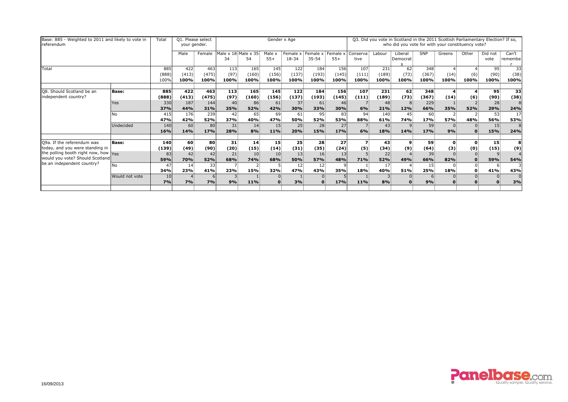| Base: 885 - Weighted to 2011 and likely to vote in<br>referendum                                      |                      | Total                | Q1. Please select<br>your gender. |                           |                      |                               |                        | Gender x Age                  |                                      |                      | Q3. Did you vote in Scotland in the 2011 Scottish Parliamentary Election? If so,<br>who did you vote for with your constituency vote? |                     |                      |                               |                          |                     |                    |                         |  |  |  |
|-------------------------------------------------------------------------------------------------------|----------------------|----------------------|-----------------------------------|---------------------------|----------------------|-------------------------------|------------------------|-------------------------------|--------------------------------------|----------------------|---------------------------------------------------------------------------------------------------------------------------------------|---------------------|----------------------|-------------------------------|--------------------------|---------------------|--------------------|-------------------------|--|--|--|
|                                                                                                       |                      | Male                 | Female                            | Male x 18 Male x 35<br>34 | 54                   | Male x<br>$55+$               | Female x<br>18-34      | Female x<br>$35 - 54$         | Female x<br>$55+$                    | Conserva<br>tive     | Labour                                                                                                                                | Liberal<br>Democrat | <b>SNP</b>           | Greens                        | Other                    | Did not<br>vote     | Can't<br>remembe   |                         |  |  |  |
| Total                                                                                                 | 885<br>(888)<br>100% | 422<br>(413)<br>100% | 463<br>(475)<br>100%              | 113<br>(97)<br>100%       | 165<br>(160)<br>100% | 145<br>(156)<br>100%          | 122<br>(137)<br>100%   | 184<br>(193)<br>100%          | 156<br>(145)<br>100%                 | 107<br>(111)<br>100% | 231<br>(189)<br>100%                                                                                                                  | 62<br>(73)<br>100%  | 348<br>(367)<br>100% | (14)<br>100%                  | (6)<br>100%              | 95<br>(90)<br>100%  | 33<br>(38)<br>100% |                         |  |  |  |
| Q8. Should Scotland be an<br>independent country?                                                     | <b>Base:</b>         | 885<br>(888)         | 422<br>(413)                      | 463<br>(475)              | 113<br>(97)          | 165<br>(160)                  | 145<br>(156)           | 122<br>(137)                  | 184<br>(193)                         | 156<br>(145)         | 107<br>(111)                                                                                                                          | 231<br>(189)        | 62<br>(73)           | 348<br>(367)                  | $\boldsymbol{4}$<br>(14) | (6)                 | 95<br>(90)         | $\overline{33}$<br>(38) |  |  |  |
|                                                                                                       | <b>Yes</b>           | 330<br>37%           | 187<br>44%                        | 144<br>31%                | 40<br>35%            | 86<br><b>52%</b>              | 61<br>42%              | 37<br>30%                     | 61<br><b>33%</b>                     | 46<br>30%            | 6%                                                                                                                                    | 48<br>21%           | 12%                  | 229<br>66%                    | 35%                      | 52%                 | 28<br>29%          | 8<br>24%                |  |  |  |
|                                                                                                       | No                   | 415<br>47%           | 176<br>42%                        | 239<br>52%                | 42<br>37%            | 65<br>40%                     | 69<br>47%              | 61<br>50%                     | 95<br><b>52%</b>                     | 83<br>53%            | 94<br>88%                                                                                                                             | 140<br>61%          | 45<br>74%            | 60 <sub>5</sub><br>17%        | 57%                      | 48%                 | 53<br>56%          | 17<br>53%               |  |  |  |
|                                                                                                       | Undecided            | 140<br>16%           | 60<br><b>14%</b>                  | 80<br>17%                 | 31<br>28%            | 14<br>8%                      | 15 <sub>z</sub><br>11% | 25<br>20%                     | 28<br><b>15%</b>                     | 27<br>17%            | 6%                                                                                                                                    | 43<br>18%           | 14%                  | 59<br>17%                     | 9%                       |                     | 15<br>15%          | 8<br>24%                |  |  |  |
| Q9a. If the referendum was<br>today, and you were standing in<br>the polling booth right now, how Yes | <b>Base:</b>         | 140<br>(139)<br>83   | 60<br>(49)<br>42                  | 80<br>(90)<br>42          | 31<br>(20)<br>21     | 14<br>(15)<br>10 <sup>1</sup> | 15<br>(14)<br>10       | 25<br>(31)<br>13 <sup>1</sup> | 28<br>(35)<br>16                     | 27<br>(24)<br>13     | (5)                                                                                                                                   | 43<br>(34)<br>22    | 9<br>(9)             | 59<br>(64)<br>39              | $\mathbf{0}$<br>(3)      | $\mathbf{0}$<br>(0) | 15<br>(15)         | 8<br>(9)                |  |  |  |
| would you vote? Should Scotland<br>be an independent country?                                         | <b>No</b>            | 59%<br>47<br>34%     | <b>70%</b><br>14<br><b>23%</b>    | 52%<br>33<br>41%          | 68%<br>23%           | <b>74%</b><br><b>15%</b>      | 68%<br>32%             | <b>50%</b><br>12<br>47%       | <b>57%</b><br>12 <sup>2</sup><br>43% | 48%<br><b>35%</b>    | 71%<br>18%                                                                                                                            | 52%<br>17<br>40%    | 49%<br>51%           | 66%<br>15 <sub>3</sub><br>25% | 82%<br>18%               | 0.                  | 59%<br>41%         | 54%<br>43%              |  |  |  |
|                                                                                                       | Would not vote       | 10<br>7%             | 7%                                | 7%                        | 9%                   | 11%                           |                        | 3%                            | 0                                    | 17%                  | 11%                                                                                                                                   | 8%                  |                      | 9%                            |                          |                     |                    | $\Omega$<br>3%          |  |  |  |

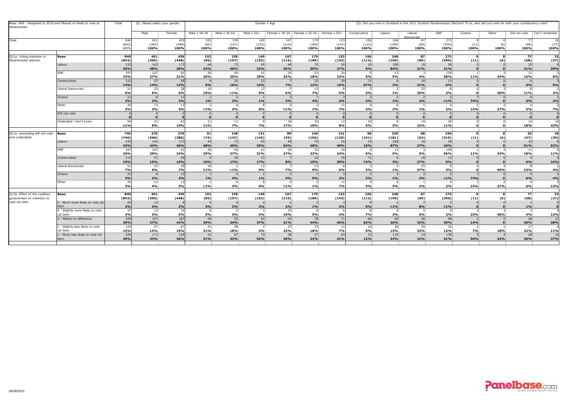| Base: 840 - Weighted to 2010 and filtered on likely to vote at<br>Westminster |                                             | Total             | Q1. Please select your gender.<br>Gender x Age |            |                 |                        |                        |                                                              |                        |            | Q3. Did you vote in Scotland in the 2011 Scottish Parliamentary Election? If so, who did you vote for with your constituency vote? |                          |                             |                       |        |       |                 |                |  |  |  |  |
|-------------------------------------------------------------------------------|---------------------------------------------|-------------------|------------------------------------------------|------------|-----------------|------------------------|------------------------|--------------------------------------------------------------|------------------------|------------|------------------------------------------------------------------------------------------------------------------------------------|--------------------------|-----------------------------|-----------------------|--------|-------|-----------------|----------------|--|--|--|--|
|                                                                               |                                             |                   | Male                                           | Female     | Male x 18-34    | Male x 35-54           | Male $\times$ 55+      | $\frac{1}{2}$ Female x 18-34 : Female x 35-54 : Female x 55+ |                        |            | Conservative                                                                                                                       | Labour                   | Liberal<br><b>Democrats</b> | SNP                   | Greens | Other | Did not vote    | Can't remember |  |  |  |  |
| Total                                                                         |                                             | 840               | 401                                            | 439        | 102:            | $159 -$                | 140:                   | $107 -$                                                      | 179                    | 153        | $106 -$                                                                                                                            | 248                      | 87                          | 273                   |        |       |                 | 32             |  |  |  |  |
|                                                                               |                                             | (843)             | (395)                                          | (448)      | (85)            | (157)                  | (153)                  | (116)                                                        | (189)                  | (143)      | (112)                                                                                                                              | (190)                    | (69)                        | (350)                 | (11)   |       | (68)            | (37)           |  |  |  |  |
|                                                                               |                                             | 100%              | 100%                                           | 100%       | 100%            | 100%                   | 100%                   | 100%                                                         | 100%                   | 100%       | 100%                                                                                                                               | 100%                     | 100%                        | 100%                  | 100%   | 100%  | 100%            | 100%           |  |  |  |  |
| Q11a. Voting intention in                                                     | <b>Base:</b>                                | 840               | 401                                            | 439        | 102             | 159                    | 140                    | 107                                                          | 179                    | 153        | 106                                                                                                                                | 248                      | 87 <sup>°</sup>             | 273                   |        |       | 77              | 32             |  |  |  |  |
| Westminister election                                                         |                                             | (843)             | (395)                                          | (448)      | (85)            | (157)                  | (153)                  | (116)                                                        | (189)                  | (143)      | (112)                                                                                                                              | (190)                    | (69)                        | (350)                 | (11)   |       | (68)            | (37)           |  |  |  |  |
|                                                                               | Labour                                      | 335               | 162                                            | 173        | 44              | 73                     | 45 <sup>2</sup>        | 48                                                           | 70                     |            | 10                                                                                                                                 | 208                      | 18                          | 58                    |        |       | 32 <sub>5</sub> |                |  |  |  |  |
|                                                                               |                                             | 40%               | 40%                                            | 39%        | 43%             | 46%                    | 32%                    | 45%                                                          | 39%                    | 37%        | 9%                                                                                                                                 | 84%                      | 21%                         | 21%                   |        |       | 41%             | 29%            |  |  |  |  |
|                                                                               | SNP                                         | 197               | 107                                            | 91         | $26^{\circ}$    | 40                     | 41.                    | 24 <sup>2</sup>                                              | 33.                    | -34        |                                                                                                                                    | 13.                      |                             | 159.                  |        |       | 11              |                |  |  |  |  |
|                                                                               |                                             | 23%               | 27%                                            | 21%        | 26%             | 25%                    | 29%                    | 22%                                                          | 18%                    | 22%        | 5%                                                                                                                                 | 5%                       | 4%                          | 58%                   | 11%    | 34%   | 15%             | 6%             |  |  |  |  |
|                                                                               | Conservative                                | 115<br>14%        | 57<br>14%                                      | 58<br>13%  | 9%              | 26 <sup>1</sup><br>16% | 23 <sub>5</sub><br>16% | 7%                                                           | 22 <sub>5</sub><br>12% | 29<br>19%  | $71-$<br>67%                                                                                                                       | 2%                       | 18<br>21%                   | 13 <sub>1</sub><br>5% |        |       | 5%              | 9%             |  |  |  |  |
|                                                                               | Liberal Democrats                           | 51                | 23:                                            | -28        | $10 -$          |                        | 12 <sup>2</sup>        |                                                              | 13:                    |            |                                                                                                                                    |                          | $25 -$                      |                       |        |       |                 |                |  |  |  |  |
|                                                                               |                                             | 6%                | 6%                                             | 6%         | 10%             | $< 1\%$                | 9%                     | 6%                                                           | 7%                     | 5%         | 3%                                                                                                                                 | $1\%$                    | 29%                         | 3%                    |        | 40%   | 11%             | 2%             |  |  |  |  |
|                                                                               | Greens                                      | 21                |                                                | 13         |                 |                        |                        |                                                              |                        |            |                                                                                                                                    |                          |                             |                       |        |       |                 |                |  |  |  |  |
|                                                                               |                                             | 2%                | 2%                                             | 3%         | 1%              | 3%                     | $1\%$                  | 3%                                                           | 4%                     | 2%         | 2%                                                                                                                                 | $1\%$                    | 2%                          | $1\%$                 | 74%    |       | 5%              | 2%             |  |  |  |  |
|                                                                               | Other                                       | 26                | 13                                             | 13         |                 |                        |                        | -8                                                           |                        |            |                                                                                                                                    |                          |                             |                       |        |       |                 |                |  |  |  |  |
|                                                                               |                                             | 3%                | 3%                                             | 3%         | $< 1\%$         | 3%                     | 6%                     | $< 1\%$                                                      | $1\%$                  | 7%         | 4%                                                                                                                                 | 3%                       | $1\%$                       | 2%                    | 14%    | 27%   | 5%              | <b>7%</b>      |  |  |  |  |
|                                                                               | Will not vote                               |                   |                                                |            |                 |                        |                        |                                                              |                        |            |                                                                                                                                    |                          |                             |                       |        |       |                 |                |  |  |  |  |
|                                                                               | Undecided / don't know                      | $Q_{\mathcal{A}}$ | 31.                                            |            |                 | 11.                    |                        | 18.                                                          | 33 <sup>2</sup>        |            |                                                                                                                                    |                          | 19 <sup>2</sup>             | 29.                   |        |       | 14.             | 14             |  |  |  |  |
|                                                                               |                                             | 11%               | 8%                                             | 14%        | 11%             | 7%                     | 7%                     | 17%                                                          | 19%                    | 8%         | 9%                                                                                                                                 | 3%                       | 22%                         | 11%                   |        |       | 18%             | 43%            |  |  |  |  |
|                                                                               |                                             |                   |                                                |            |                 |                        |                        |                                                              |                        |            |                                                                                                                                    |                          |                             |                       |        |       |                 |                |  |  |  |  |
| Q11a. (excluding will not vote                                                | <b>Base:</b>                                | 746               | 370                                            | 376        | 91:             | 148 <sup>2</sup>       | 131                    | 89                                                           | 146                    | 141        | $96 -$                                                                                                                             | 239 <sup>2</sup>         | 68                          | 244.                  | ം      |       | 63              | 18             |  |  |  |  |
| and undecided)                                                                |                                             | (746)             | (366)                                          | (380)      | (74)            | (147)                  | (145)                  | (95)                                                         | (156)                  | (129)      | (101)                                                                                                                              | (181)                    | (54)                        | (316)                 | (11)   |       | (57)            | (20)           |  |  |  |  |
|                                                                               | Labour                                      | 335               | 162                                            | 173        | 44              | 73                     | 45 <sup>2</sup>        | 48                                                           | 70                     | -56        | 10                                                                                                                                 | 208                      | 18 <sup>2</sup>             | 58 <sup>1</sup>       |        |       | 32 <sup>2</sup> |                |  |  |  |  |
|                                                                               | <b>SNP</b>                                  | 45%               | 44%                                            | 46%        | 48%             | 49%<br>-40             | 35%                    | 54%                                                          | 48%                    | 40%        | 10%                                                                                                                                | 87%                      | 27%                         | 24%                   |        |       | 51%             | 52%            |  |  |  |  |
|                                                                               |                                             | 197<br>26%        | 107<br>29%                                     | -91<br>24% | 26:<br>29%      | 27%                    | -41<br>31%             | 24<br>27%                                                    | -33<br>22%             | 24%        | 6%                                                                                                                                 | 13 <sub>1</sub><br>$5\%$ | 5%                          | 159<br>65%            | 11%    | 34%   | 11<br>18%       | 11%            |  |  |  |  |
|                                                                               | Conservative                                | 115               | 57 <sup>2</sup>                                | 58         |                 | 26                     | 23 <sup>2</sup>        |                                                              | 22 <sup>2</sup>        | 29         | 71                                                                                                                                 |                          | 18                          | 13 <sup>2</sup>       |        |       |                 |                |  |  |  |  |
|                                                                               |                                             | 15%               | <b>15%</b>                                     | 15%        | 10%             | <b>17%</b>             | 17%                    | 8%                                                           | 15%                    | 20%        | 74%                                                                                                                                | 3%                       | 27%                         | 5%                    |        |       | 6%              | 16%            |  |  |  |  |
|                                                                               | Liberal Democrats                           | 511               | 23                                             |            |                 |                        |                        | 12.                                                          | 13.                    |            |                                                                                                                                    |                          | -25.                        |                       |        |       |                 |                |  |  |  |  |
|                                                                               |                                             | 7%                | 6%                                             | 7%         | 11%             | $< 1\%$                | 9%                     | 7%                                                           | 9%                     | 6%         | 3%                                                                                                                                 | $1\%$                    | 37%                         | 3%                    |        | 40%   | 13%             | 4%             |  |  |  |  |
|                                                                               | Greens                                      | $\overline{21}$   |                                                | 13         |                 |                        |                        |                                                              |                        |            |                                                                                                                                    |                          |                             |                       |        |       |                 |                |  |  |  |  |
|                                                                               |                                             | 3%                | 2%                                             | 3%         | 1%              | 4%                     | $1\%$                  | 4%                                                           | 5%                     | 2%         | 3%                                                                                                                                 | $1\%$                    | 3%                          | $< 1\%$               | 74%    |       | 6%              | 4%             |  |  |  |  |
|                                                                               | Other                                       | 26<br>3%          | 13 <sup>1</sup><br>4%                          | 3%         | $< 1\%$         | 3%                     | 6%                     | -8<br>$< 1\%$                                                | 1%                     | 7%         | 5%                                                                                                                                 | 3%                       | 2%                          | 2%                    | 14%    | 27%   | 6%              | 13%            |  |  |  |  |
|                                                                               |                                             |                   |                                                |            |                 |                        |                        |                                                              |                        |            |                                                                                                                                    |                          |                             |                       |        |       |                 |                |  |  |  |  |
| Q11b. Effect of the coalition                                                 | <b>Base:</b>                                | 840               | 401                                            | 439        | 102             | 159 <sup>°</sup>       | 140                    | 107                                                          | 179                    | 153        | 106                                                                                                                                | 248                      | 87 <sup>°</sup>             | 273                   |        |       | 77              | 32             |  |  |  |  |
| government on intention to                                                    |                                             | (843)             | (395)                                          | (448)      | (85)            | (157)                  | (153)                  | (116)                                                        | (189)                  | (143)      | (112)                                                                                                                              | (190)                    | (69)                        | (350)                 | (11)   |       | (68)            | (37)           |  |  |  |  |
| vote Lib Dem                                                                  | 5 - Much more likely to vote Lib            | 20                | 12 <sub>2</sub>                                |            |                 |                        |                        |                                                              |                        |            |                                                                                                                                    |                          |                             |                       |        |       |                 |                |  |  |  |  |
|                                                                               | Dem                                         | $2\%$             | 3%                                             | 2%         | 4%              | 3%                     | 3%                     | 2%                                                           | 1%                     | 2%         | 9%                                                                                                                                 | $< 1\%$                  | 8%                          | $< 1\%$               |        |       | 1%              |                |  |  |  |  |
|                                                                               | 4 - Slightly more likely to vote<br>Lib Dem | 37<br>4%          | 13<br>3%                                       | 24<br>5%   | <b>5%</b>       | 3%                     | 3%                     | 10 <sub>1</sub><br>10%                                       | 5%                     | 4%         | 7%                                                                                                                                 | 3%                       | 5%                          | 2%                    | 23%    | 40%   | 4%              | 13%            |  |  |  |  |
|                                                                               | 3 - Makes no difference                     | 329               | 147                                            | 183        | 40 <sup>2</sup> | 55 <sup>2</sup>        | 52                     | 33 <sup>2</sup>                                              | 78                     |            | 66                                                                                                                                 | 90 <sup>1</sup>          | 36 <sup>2</sup>             | 96 <sup>1</sup>       |        |       | 28              |                |  |  |  |  |
|                                                                               |                                             | 39%               | 37%                                            | 42%        | 39%             | 34%                    | 37%                    | 31%                                                          | 44%                    | 46%        | 62%                                                                                                                                | 36%                      | 42%                         | 35%                   | 14%    |       | 36%             | 12<br>38%      |  |  |  |  |
|                                                                               | 2 - Slightly less likely to vote            | 124               | 57 <sub>5</sub>                                |            | 21:             | 28                     |                        | $23 -$                                                       | 33                     |            | 10                                                                                                                                 | 38 <sub>1</sub>          | 20 <sup>1</sup>             | 32 <sub>1</sub>       |        |       | $17-$           |                |  |  |  |  |
|                                                                               | Lib Dem                                     | 15%               | 14%                                            | 15%        | 21%             | 18%                    | 5%                     | 22%                                                          | <b>18%</b>             | 7%         | 9%                                                                                                                                 | 15%                      | 23%                         | 12%                   | 7%     | 18%   | 22%             | 11%            |  |  |  |  |
|                                                                               | 1 - Much less likely to vote Lib            | $\frac{1}{329}$   | 171                                            | 158        | 31              | 67:                    | 73                     | 38 <sup>2</sup>                                              | -57                    | <b>631</b> | 13 <sup>°</sup>                                                                                                                    | 110:                     | 19                          | 139.                  |        |       | 28 <sup>2</sup> | 12             |  |  |  |  |
|                                                                               | Dem                                         | 39%               | 43%                                            | 36%        | 31%             | 42%                    | 52%                    | 36%                                                          | 32%                    | 41%        | 12%                                                                                                                                | 44%                      | 22%                         | 51%                   | 56%    | 43%   | 36%             | 37%            |  |  |  |  |
|                                                                               |                                             |                   |                                                |            |                 |                        |                        |                                                              |                        |            |                                                                                                                                    |                          |                             |                       |        |       |                 |                |  |  |  |  |